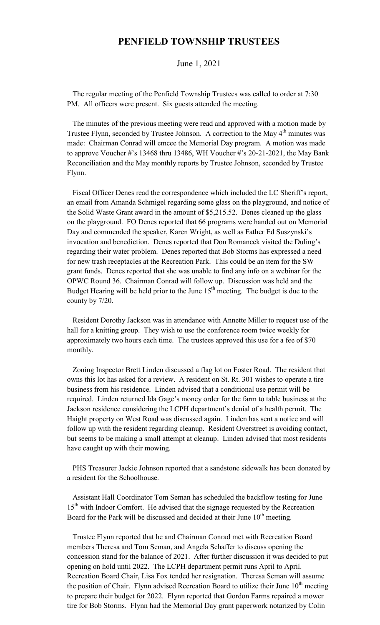## **PENFIELD TOWNSHIP TRUSTEES**

## June 1, 2021

 The regular meeting of the Penfield Township Trustees was called to order at 7:30 PM. All officers were present. Six guests attended the meeting.

 The minutes of the previous meeting were read and approved with a motion made by Trustee Flynn, seconded by Trustee Johnson. A correction to the May 4<sup>th</sup> minutes was made: Chairman Conrad will emcee the Memorial Day program. A motion was made to approve Voucher #'s 13468 thru 13486, WH Voucher #'s 20-21-2021, the May Bank Reconciliation and the May monthly reports by Trustee Johnson, seconded by Trustee Flynn.

 Fiscal Officer Denes read the correspondence which included the LC Sheriff's report, an email from Amanda Schmigel regarding some glass on the playground, and notice of the Solid Waste Grant award in the amount of \$5,215.52. Denes cleaned up the glass on the playground. FO Denes reported that 66 programs were handed out on Memorial Day and commended the speaker, Karen Wright, as well as Father Ed Suszynski's invocation and benediction. Denes reported that Don Romancek visited the Duling's regarding their water problem. Denes reported that Bob Storms has expressed a need for new trash receptacles at the Recreation Park. This could be an item for the SW grant funds. Denes reported that she was unable to find any info on a webinar for the OPWC Round 36. Chairman Conrad will follow up. Discussion was held and the Budget Hearing will be held prior to the June  $15<sup>th</sup>$  meeting. The budget is due to the county by 7/20.

 Resident Dorothy Jackson was in attendance with Annette Miller to request use of the hall for a knitting group. They wish to use the conference room twice weekly for approximately two hours each time. The trustees approved this use for a fee of \$70 monthly.

 Zoning Inspector Brett Linden discussed a flag lot on Foster Road. The resident that owns this lot has asked for a review. A resident on St. Rt. 301 wishes to operate a tire business from his residence. Linden advised that a conditional use permit will be required. Linden returned Ida Gage's money order for the farm to table business at the Jackson residence considering the LCPH department's denial of a health permit. The Haight property on West Road was discussed again. Linden has sent a notice and will follow up with the resident regarding cleanup. Resident Overstreet is avoiding contact, but seems to be making a small attempt at cleanup. Linden advised that most residents have caught up with their mowing.

 PHS Treasurer Jackie Johnson reported that a sandstone sidewalk has been donated by a resident for the Schoolhouse.

 Assistant Hall Coordinator Tom Seman has scheduled the backflow testing for June 15<sup>th</sup> with Indoor Comfort. He advised that the signage requested by the Recreation Board for the Park will be discussed and decided at their June  $10<sup>th</sup>$  meeting.

 Trustee Flynn reported that he and Chairman Conrad met with Recreation Board members Theresa and Tom Seman, and Angela Schaffer to discuss opening the concession stand for the balance of 2021. After further discussion it was decided to put opening on hold until 2022. The LCPH department permit runs April to April. Recreation Board Chair, Lisa Fox tended her resignation. Theresa Seman will assume the position of Chair. Flynn advised Recreation Board to utilize their June  $10<sup>th</sup>$  meeting to prepare their budget for 2022. Flynn reported that Gordon Farms repaired a mower tire for Bob Storms. Flynn had the Memorial Day grant paperwork notarized by Colin